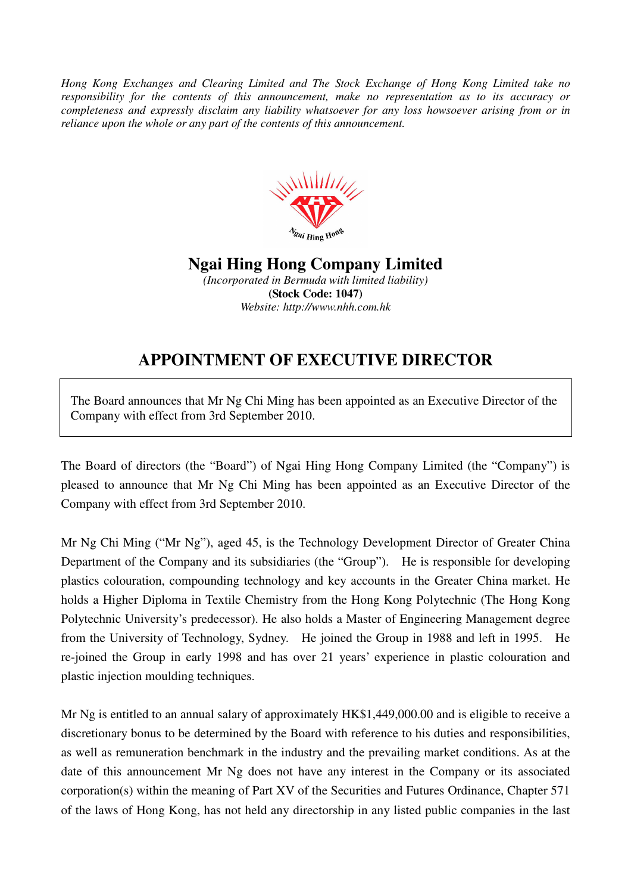*Hong Kong Exchanges and Clearing Limited and The Stock Exchange of Hong Kong Limited take no responsibility for the contents of this announcement, make no representation as to its accuracy or completeness and expressly disclaim any liability whatsoever for any loss howsoever arising from or in reliance upon the whole or any part of the contents of this announcement.* 



**Ngai Hing Hong Company Limited** 

*(Incorporated in Bermuda with limited liability)*  **(Stock Code: 1047)**  *Website: http://www.nhh.com.hk* 

## **APPOINTMENT OF EXECUTIVE DIRECTOR**

The Board announces that Mr Ng Chi Ming has been appointed as an Executive Director of the Company with effect from 3rd September 2010.

The Board of directors (the "Board") of Ngai Hing Hong Company Limited (the "Company") is pleased to announce that Mr Ng Chi Ming has been appointed as an Executive Director of the Company with effect from 3rd September 2010.

Mr Ng Chi Ming ("Mr Ng"), aged 45, is the Technology Development Director of Greater China Department of the Company and its subsidiaries (the "Group"). He is responsible for developing plastics colouration, compounding technology and key accounts in the Greater China market. He holds a Higher Diploma in Textile Chemistry from the Hong Kong Polytechnic (The Hong Kong Polytechnic University's predecessor). He also holds a Master of Engineering Management degree from the University of Technology, Sydney. He joined the Group in 1988 and left in 1995. He re-joined the Group in early 1998 and has over 21 years' experience in plastic colouration and plastic injection moulding techniques.

Mr Ng is entitled to an annual salary of approximately HK\$1,449,000.00 and is eligible to receive a discretionary bonus to be determined by the Board with reference to his duties and responsibilities, as well as remuneration benchmark in the industry and the prevailing market conditions. As at the date of this announcement Mr Ng does not have any interest in the Company or its associated corporation(s) within the meaning of Part XV of the Securities and Futures Ordinance, Chapter 571 of the laws of Hong Kong, has not held any directorship in any listed public companies in the last